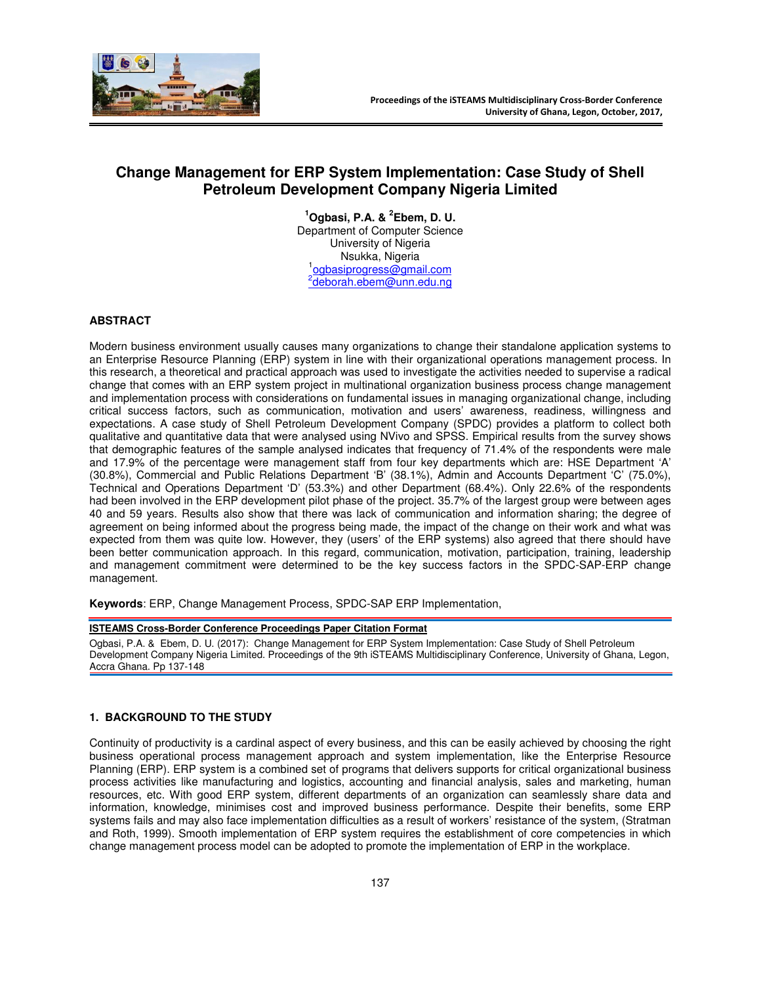

# **Change Management for ERP System Implementation: Case Study of Shell Petroleum Development Company Nigeria Limited**

**<sup>1</sup>Ogbasi, P.A. & <sup>2</sup> Ebem, D. U.**  Department of Computer Science University of Nigeria Nsukka, Nigeria 1 ogbasiprogress@gmail.com <sup>2</sup>deborah.ebem@unn.edu.ng

## **ABSTRACT**

Modern business environment usually causes many organizations to change their standalone application systems to an Enterprise Resource Planning (ERP) system in line with their organizational operations management process. In this research, a theoretical and practical approach was used to investigate the activities needed to supervise a radical change that comes with an ERP system project in multinational organization business process change management and implementation process with considerations on fundamental issues in managing organizational change, including critical success factors, such as communication, motivation and users' awareness, readiness, willingness and expectations. A case study of Shell Petroleum Development Company (SPDC) provides a platform to collect both qualitative and quantitative data that were analysed using NVivo and SPSS. Empirical results from the survey shows that demographic features of the sample analysed indicates that frequency of 71.4% of the respondents were male and 17.9% of the percentage were management staff from four key departments which are: HSE Department 'A' (30.8%), Commercial and Public Relations Department 'B' (38.1%), Admin and Accounts Department 'C' (75.0%), Technical and Operations Department 'D' (53.3%) and other Department (68.4%). Only 22.6% of the respondents had been involved in the ERP development pilot phase of the project. 35.7% of the largest group were between ages 40 and 59 years. Results also show that there was lack of communication and information sharing; the degree of agreement on being informed about the progress being made, the impact of the change on their work and what was expected from them was quite low. However, they (users' of the ERP systems) also agreed that there should have been better communication approach. In this regard, communication, motivation, participation, training, leadership and management commitment were determined to be the key success factors in the SPDC-SAP-ERP change management.

**Keywords**: ERP, Change Management Process, SPDC-SAP ERP Implementation,

#### **ISTEAMS Cross-Border Conference Proceedings Paper Citation Format**

Ogbasi, P.A. & Ebem, D. U. (2017): Change Management for ERP System Implementation: Case Study of Shell Petroleum Development Company Nigeria Limited. Proceedings of the 9th iSTEAMS Multidisciplinary Conference, University of Ghana, Legon, Accra Ghana. Pp 137-148

## **1. BACKGROUND TO THE STUDY**

Continuity of productivity is a cardinal aspect of every business, and this can be easily achieved by choosing the right business operational process management approach and system implementation, like the Enterprise Resource Planning (ERP). ERP system is a combined set of programs that delivers supports for critical organizational business process activities like manufacturing and logistics, accounting and financial analysis, sales and marketing, human resources, etc. With good ERP system, different departments of an organization can seamlessly share data and information, knowledge, minimises cost and improved business performance. Despite their benefits, some ERP systems fails and may also face implementation difficulties as a result of workers' resistance of the system, (Stratman and Roth, 1999). Smooth implementation of ERP system requires the establishment of core competencies in which change management process model can be adopted to promote the implementation of ERP in the workplace.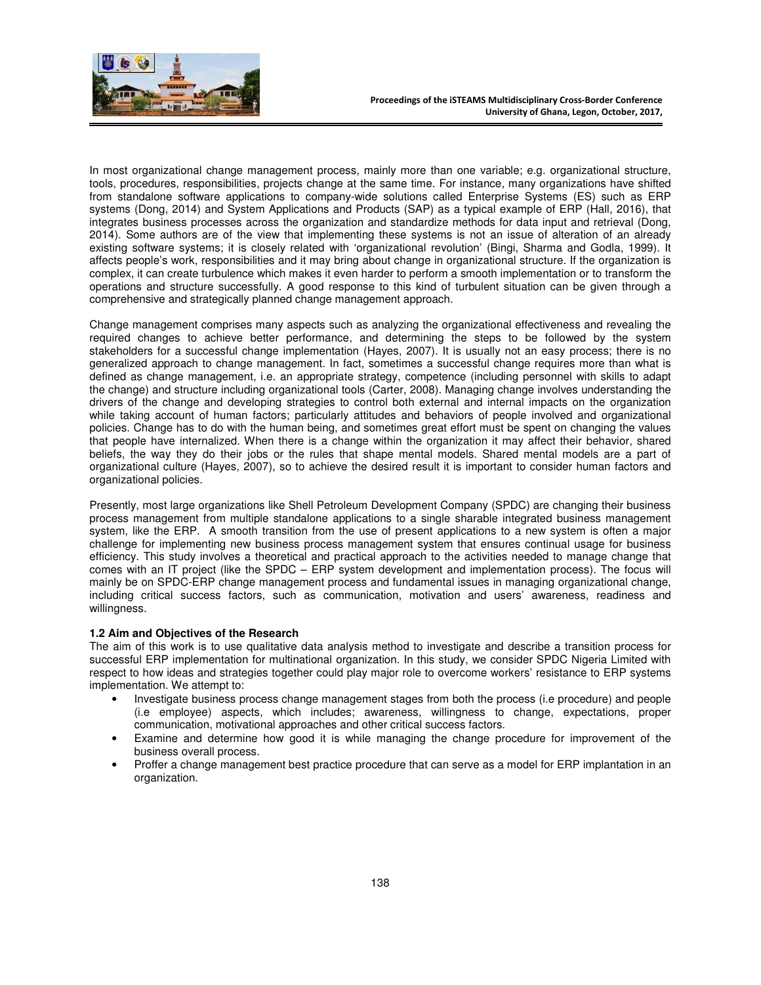

In most organizational change management process, mainly more than one variable; e.g. organizational structure, tools, procedures, responsibilities, projects change at the same time. For instance, many organizations have shifted from standalone software applications to company-wide solutions called Enterprise Systems (ES) such as ERP systems (Dong, 2014) and System Applications and Products (SAP) as a typical example of ERP (Hall, 2016), that integrates business processes across the organization and standardize methods for data input and retrieval (Dong, 2014). Some authors are of the view that implementing these systems is not an issue of alteration of an already existing software systems; it is closely related with 'organizational revolution' (Bingi, Sharma and Godla, 1999). It affects people's work, responsibilities and it may bring about change in organizational structure. If the organization is complex, it can create turbulence which makes it even harder to perform a smooth implementation or to transform the operations and structure successfully. A good response to this kind of turbulent situation can be given through a comprehensive and strategically planned change management approach.

Change management comprises many aspects such as analyzing the organizational effectiveness and revealing the required changes to achieve better performance, and determining the steps to be followed by the system stakeholders for a successful change implementation (Hayes, 2007). It is usually not an easy process; there is no generalized approach to change management. In fact, sometimes a successful change requires more than what is defined as change management, i.e. an appropriate strategy, competence (including personnel with skills to adapt the change) and structure including organizational tools (Carter, 2008). Managing change involves understanding the drivers of the change and developing strategies to control both external and internal impacts on the organization while taking account of human factors; particularly attitudes and behaviors of people involved and organizational policies. Change has to do with the human being, and sometimes great effort must be spent on changing the values that people have internalized. When there is a change within the organization it may affect their behavior, shared beliefs, the way they do their jobs or the rules that shape mental models. Shared mental models are a part of organizational culture (Hayes, 2007), so to achieve the desired result it is important to consider human factors and organizational policies.

Presently, most large organizations like Shell Petroleum Development Company (SPDC) are changing their business process management from multiple standalone applications to a single sharable integrated business management system, like the ERP. A smooth transition from the use of present applications to a new system is often a major challenge for implementing new business process management system that ensures continual usage for business efficiency. This study involves a theoretical and practical approach to the activities needed to manage change that comes with an IT project (like the SPDC – ERP system development and implementation process). The focus will mainly be on SPDC-ERP change management process and fundamental issues in managing organizational change, including critical success factors, such as communication, motivation and users' awareness, readiness and willingness.

#### **1.2 Aim and Objectives of the Research**

The aim of this work is to use qualitative data analysis method to investigate and describe a transition process for successful ERP implementation for multinational organization. In this study, we consider SPDC Nigeria Limited with respect to how ideas and strategies together could play major role to overcome workers' resistance to ERP systems implementation. We attempt to:

- Investigate business process change management stages from both the process (i.e procedure) and people (i.e employee) aspects, which includes; awareness, willingness to change, expectations, proper communication, motivational approaches and other critical success factors.
- Examine and determine how good it is while managing the change procedure for improvement of the business overall process.
- Proffer a change management best practice procedure that can serve as a model for ERP implantation in an organization.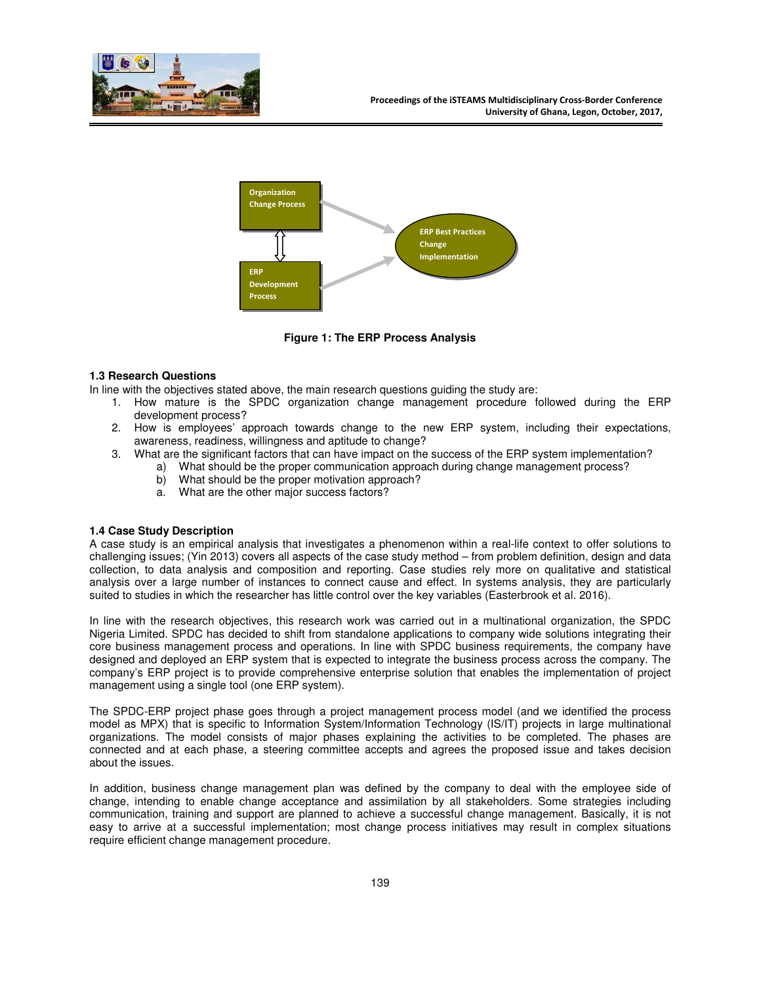



**Figure 1: The ERP Process Analysis** 

## **1.3 Research Questions**

In line with the objectives stated above, the main research questions guiding the study are:

- 1. How mature is the SPDC organization change management procedure followed during the ERP development process?
- 2. How is employees' approach towards change to the new ERP system, including their expectations, awareness, readiness, willingness and aptitude to change?
- 3. What are the significant factors that can have impact on the success of the ERP system implementation?
	- a) What should be the proper communication approach during change management process?
		- b) What should be the proper motivation approach?
		- a. What are the other major success factors?

## **1.4 Case Study Description**

A case study is an empirical analysis that investigates a phenomenon within a real-life context to offer solutions to challenging issues; (Yin 2013) covers all aspects of the case study method – from problem definition, design and data collection, to data analysis and composition and reporting. Case studies rely more on qualitative and statistical analysis over a large number of instances to connect cause and effect. In systems analysis, they are particularly suited to studies in which the researcher has little control over the key variables (Easterbrook et al. 2016).

In line with the research objectives, this research work was carried out in a multinational organization, the SPDC Nigeria Limited. SPDC has decided to shift from standalone applications to company wide solutions integrating their core business management process and operations. In line with SPDC business requirements, the company have designed and deployed an ERP system that is expected to integrate the business process across the company. The company's ERP project is to provide comprehensive enterprise solution that enables the implementation of project management using a single tool (one ERP system).

The SPDC-ERP project phase goes through a project management process model (and we identified the process model as MPX) that is specific to Information System/Information Technology (IS/IT) projects in large multinational organizations. The model consists of major phases explaining the activities to be completed. The phases are connected and at each phase, a steering committee accepts and agrees the proposed issue and takes decision about the issues.

In addition, business change management plan was defined by the company to deal with the employee side of change, intending to enable change acceptance and assimilation by all stakeholders. Some strategies including communication, training and support are planned to achieve a successful change management. Basically, it is not easy to arrive at a successful implementation; most change process initiatives may result in complex situations require efficient change management procedure.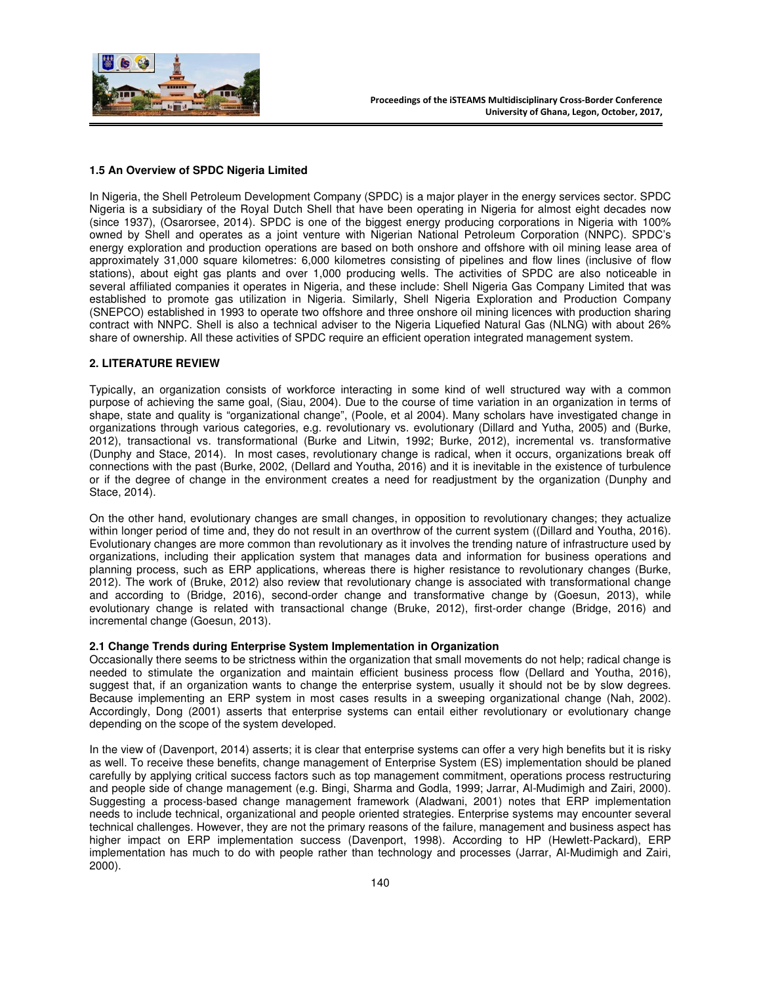

## **1.5 An Overview of SPDC Nigeria Limited**

In Nigeria, the Shell Petroleum Development Company (SPDC) is a major player in the energy services sector. SPDC Nigeria is a subsidiary of the Royal Dutch Shell that have been operating in Nigeria for almost eight decades now (since 1937), (Osarorsee, 2014). SPDC is one of the biggest energy producing corporations in Nigeria with 100% owned by Shell and operates as a joint venture with Nigerian National Petroleum Corporation (NNPC). SPDC's energy exploration and production operations are based on both onshore and offshore with oil mining lease area of approximately 31,000 square kilometres: 6,000 kilometres consisting of pipelines and flow lines (inclusive of flow stations), about eight gas plants and over 1,000 producing wells. The activities of SPDC are also noticeable in several affiliated companies it operates in Nigeria, and these include: Shell Nigeria Gas Company Limited that was established to promote gas utilization in Nigeria. Similarly, Shell Nigeria Exploration and Production Company (SNEPCO) established in 1993 to operate two offshore and three onshore oil mining licences with production sharing contract with NNPC. Shell is also a technical adviser to the Nigeria Liquefied Natural Gas (NLNG) with about 26% share of ownership. All these activities of SPDC require an efficient operation integrated management system.

## **2. LITERATURE REVIEW**

Typically, an organization consists of workforce interacting in some kind of well structured way with a common purpose of achieving the same goal, (Siau, 2004). Due to the course of time variation in an organization in terms of shape, state and quality is "organizational change", (Poole, et al 2004). Many scholars have investigated change in organizations through various categories, e.g. revolutionary vs. evolutionary (Dillard and Yutha, 2005) and (Burke, 2012), transactional vs. transformational (Burke and Litwin, 1992; Burke, 2012), incremental vs. transformative (Dunphy and Stace, 2014). In most cases, revolutionary change is radical, when it occurs, organizations break off connections with the past (Burke, 2002, (Dellard and Youtha, 2016) and it is inevitable in the existence of turbulence or if the degree of change in the environment creates a need for readjustment by the organization (Dunphy and Stace, 2014).

On the other hand, evolutionary changes are small changes, in opposition to revolutionary changes; they actualize within longer period of time and, they do not result in an overthrow of the current system ((Dillard and Youtha, 2016). Evolutionary changes are more common than revolutionary as it involves the trending nature of infrastructure used by organizations, including their application system that manages data and information for business operations and planning process, such as ERP applications, whereas there is higher resistance to revolutionary changes (Burke, 2012). The work of (Bruke, 2012) also review that revolutionary change is associated with transformational change and according to (Bridge, 2016), second-order change and transformative change by (Goesun, 2013), while evolutionary change is related with transactional change (Bruke, 2012), first-order change (Bridge, 2016) and incremental change (Goesun, 2013).

#### **2.1 Change Trends during Enterprise System Implementation in Organization**

Occasionally there seems to be strictness within the organization that small movements do not help; radical change is needed to stimulate the organization and maintain efficient business process flow (Dellard and Youtha, 2016), suggest that, if an organization wants to change the enterprise system, usually it should not be by slow degrees. Because implementing an ERP system in most cases results in a sweeping organizational change (Nah, 2002). Accordingly, Dong (2001) asserts that enterprise systems can entail either revolutionary or evolutionary change depending on the scope of the system developed.

In the view of (Davenport, 2014) asserts; it is clear that enterprise systems can offer a very high benefits but it is risky as well. To receive these benefits, change management of Enterprise System (ES) implementation should be planed carefully by applying critical success factors such as top management commitment, operations process restructuring and people side of change management (e.g. Bingi, Sharma and Godla, 1999; Jarrar, Al-Mudimigh and Zairi, 2000). Suggesting a process-based change management framework (Aladwani, 2001) notes that ERP implementation needs to include technical, organizational and people oriented strategies. Enterprise systems may encounter several technical challenges. However, they are not the primary reasons of the failure, management and business aspect has higher impact on ERP implementation success (Davenport, 1998). According to HP (Hewlett-Packard), ERP implementation has much to do with people rather than technology and processes (Jarrar, Al-Mudimigh and Zairi, 2000).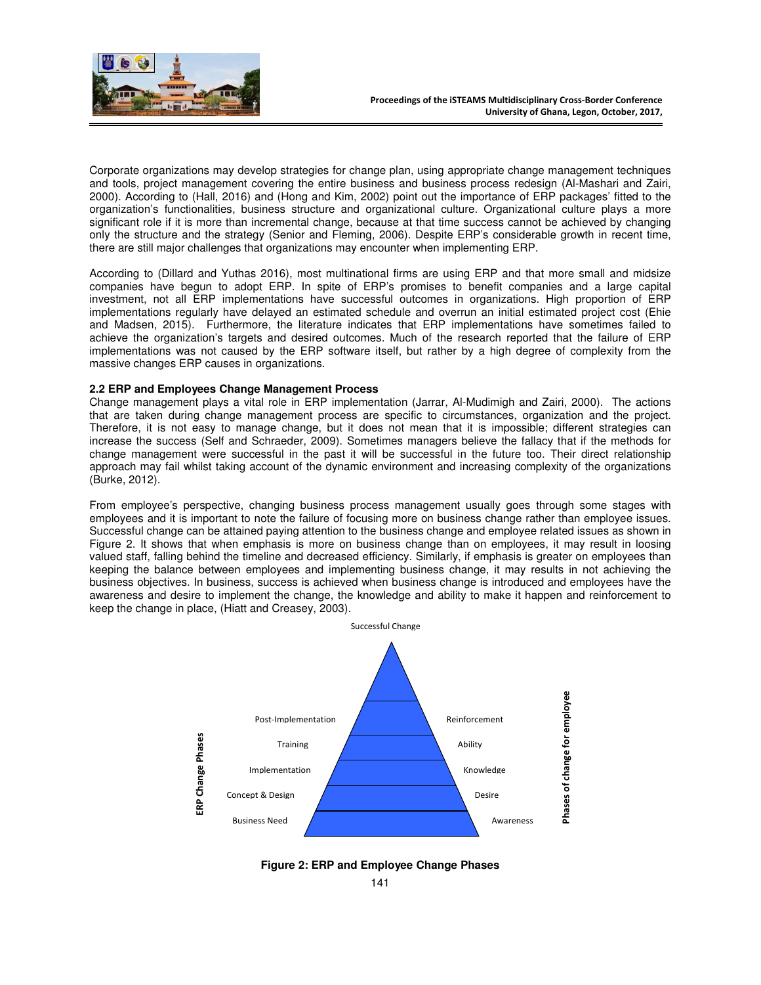

Corporate organizations may develop strategies for change plan, using appropriate change management techniques and tools, project management covering the entire business and business process redesign (Al-Mashari and Zairi, 2000). According to (Hall, 2016) and (Hong and Kim, 2002) point out the importance of ERP packages' fitted to the organization's functionalities, business structure and organizational culture. Organizational culture plays a more significant role if it is more than incremental change, because at that time success cannot be achieved by changing only the structure and the strategy (Senior and Fleming, 2006). Despite ERP's considerable growth in recent time, there are still major challenges that organizations may encounter when implementing ERP.

According to (Dillard and Yuthas 2016), most multinational firms are using ERP and that more small and midsize companies have begun to adopt ERP. In spite of ERP's promises to benefit companies and a large capital investment, not all ERP implementations have successful outcomes in organizations. High proportion of ERP implementations regularly have delayed an estimated schedule and overrun an initial estimated project cost (Ehie and Madsen, 2015). Furthermore, the literature indicates that ERP implementations have sometimes failed to achieve the organization's targets and desired outcomes. Much of the research reported that the failure of ERP implementations was not caused by the ERP software itself, but rather by a high degree of complexity from the massive changes ERP causes in organizations.

# **2.2 ERP and Employees Change Management Process**

Change management plays a vital role in ERP implementation (Jarrar, Al-Mudimigh and Zairi, 2000). The actions that are taken during change management process are specific to circumstances, organization and the project. Therefore, it is not easy to manage change, but it does not mean that it is impossible; different strategies can increase the success (Self and Schraeder, 2009). Sometimes managers believe the fallacy that if the methods for change management were successful in the past it will be successful in the future too. Their direct relationship approach may fail whilst taking account of the dynamic environment and increasing complexity of the organizations (Burke, 2012).

From employee's perspective, changing business process management usually goes through some stages with employees and it is important to note the failure of focusing more on business change rather than employee issues. Successful change can be attained paying attention to the business change and employee related issues as shown in Figure 2. It shows that when emphasis is more on business change than on employees, it may result in loosing valued staff, falling behind the timeline and decreased efficiency. Similarly, if emphasis is greater on employees than keeping the balance between employees and implementing business change, it may results in not achieving the business objectives. In business, success is achieved when business change is introduced and employees have the awareness and desire to implement the change, the knowledge and ability to make it happen and reinforcement to keep the change in place, (Hiatt and Creasey, 2003).



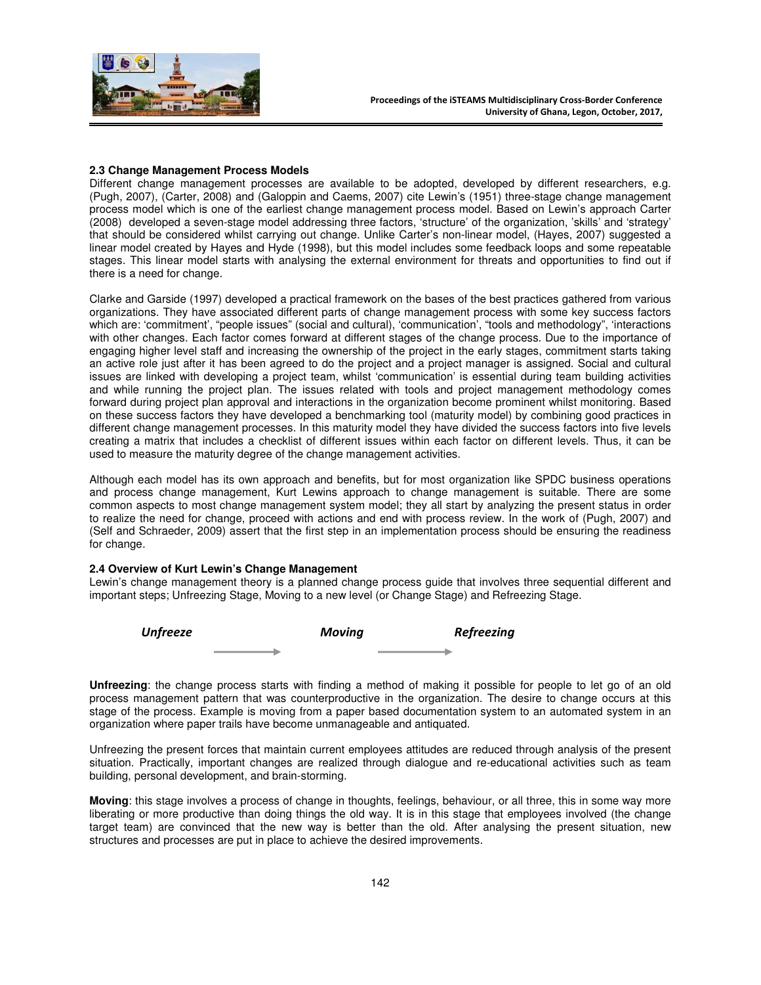

## **2.3 Change Management Process Models**

Different change management processes are available to be adopted, developed by different researchers, e.g. (Pugh, 2007), (Carter, 2008) and (Galoppin and Caems, 2007) cite Lewin's (1951) three-stage change management process model which is one of the earliest change management process model. Based on Lewin's approach Carter (2008) developed a seven-stage model addressing three factors, 'structure' of the organization, 'skills' and 'strategy' that should be considered whilst carrying out change. Unlike Carter's non-linear model, (Hayes, 2007) suggested a linear model created by Hayes and Hyde (1998), but this model includes some feedback loops and some repeatable stages. This linear model starts with analysing the external environment for threats and opportunities to find out if there is a need for change.

Clarke and Garside (1997) developed a practical framework on the bases of the best practices gathered from various organizations. They have associated different parts of change management process with some key success factors which are: 'commitment', "people issues" (social and cultural), 'communication', "tools and methodology", 'interactions with other changes. Each factor comes forward at different stages of the change process. Due to the importance of engaging higher level staff and increasing the ownership of the project in the early stages, commitment starts taking an active role just after it has been agreed to do the project and a project manager is assigned. Social and cultural issues are linked with developing a project team, whilst 'communication' is essential during team building activities and while running the project plan. The issues related with tools and project management methodology comes forward during project plan approval and interactions in the organization become prominent whilst monitoring. Based on these success factors they have developed a benchmarking tool (maturity model) by combining good practices in different change management processes. In this maturity model they have divided the success factors into five levels creating a matrix that includes a checklist of different issues within each factor on different levels. Thus, it can be used to measure the maturity degree of the change management activities.

Although each model has its own approach and benefits, but for most organization like SPDC business operations and process change management, Kurt Lewins approach to change management is suitable. There are some common aspects to most change management system model; they all start by analyzing the present status in order to realize the need for change, proceed with actions and end with process review. In the work of (Pugh, 2007) and (Self and Schraeder, 2009) assert that the first step in an implementation process should be ensuring the readiness for change.

#### **2.4 Overview of Kurt Lewin's Change Management**

Lewin's change management theory is a planned change process guide that involves three sequential different and important steps; Unfreezing Stage, Moving to a new level (or Change Stage) and Refreezing Stage.

| Unfreeze |  |  | <b>Refreezing</b> |  |
|----------|--|--|-------------------|--|
|          |  |  |                   |  |

**Unfreezing**: the change process starts with finding a method of making it possible for people to let go of an old process management pattern that was counterproductive in the organization. The desire to change occurs at this stage of the process. Example is moving from a paper based documentation system to an automated system in an organization where paper trails have become unmanageable and antiquated.

Unfreezing the present forces that maintain current employees attitudes are reduced through analysis of the present situation. Practically, important changes are realized through dialogue and re-educational activities such as team building, personal development, and brain-storming.

**Moving**: this stage involves a process of change in thoughts, feelings, behaviour, or all three, this in some way more liberating or more productive than doing things the old way. It is in this stage that employees involved (the change target team) are convinced that the new way is better than the old. After analysing the present situation, new structures and processes are put in place to achieve the desired improvements.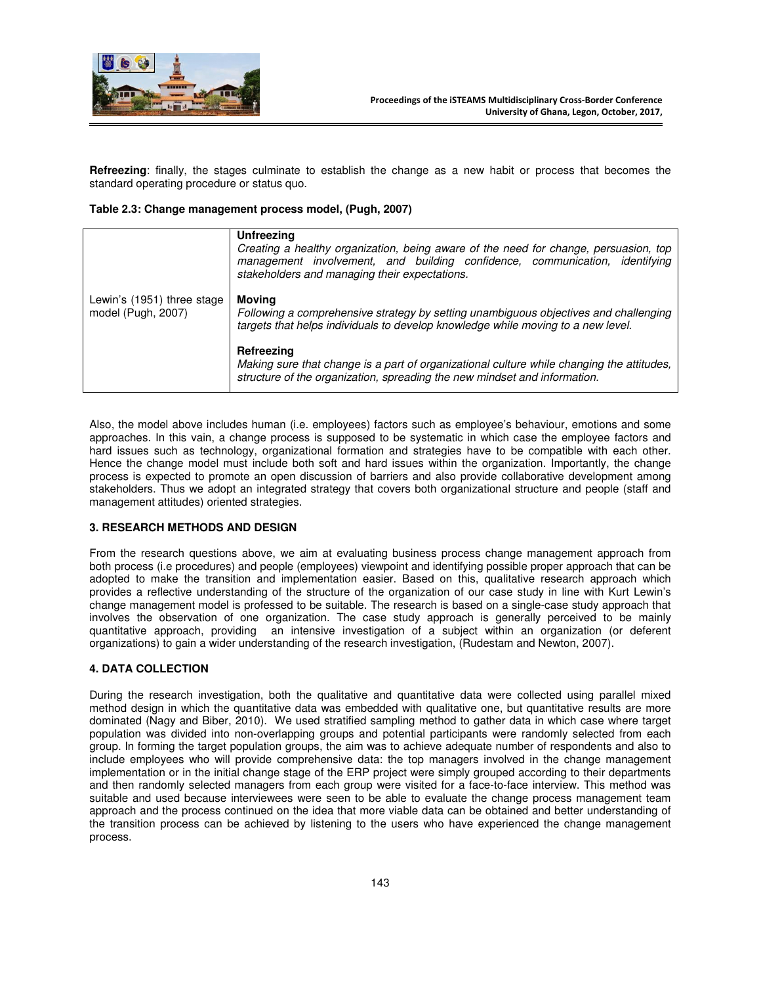

**Refreezing**: finally, the stages culminate to establish the change as a new habit or process that becomes the standard operating procedure or status quo.

## **Table 2.3: Change management process model, (Pugh, 2007)**

|                                                  | Unfreezing<br>Creating a healthy organization, being aware of the need for change, persuasion, top<br>management involvement, and building confidence, communication, identifying<br>stakeholders and managing their expectations. |  |  |  |
|--------------------------------------------------|------------------------------------------------------------------------------------------------------------------------------------------------------------------------------------------------------------------------------------|--|--|--|
| Lewin's (1951) three stage<br>model (Pugh, 2007) | Movina<br>Following a comprehensive strategy by setting unambiguous objectives and challenging<br>targets that helps individuals to develop knowledge while moving to a new level.                                                 |  |  |  |
|                                                  | Refreezing<br>Making sure that change is a part of organizational culture while changing the attitudes,<br>structure of the organization, spreading the new mindset and information.                                               |  |  |  |

Also, the model above includes human (i.e. employees) factors such as employee's behaviour, emotions and some approaches. In this vain, a change process is supposed to be systematic in which case the employee factors and hard issues such as technology, organizational formation and strategies have to be compatible with each other. Hence the change model must include both soft and hard issues within the organization. Importantly, the change process is expected to promote an open discussion of barriers and also provide collaborative development among stakeholders. Thus we adopt an integrated strategy that covers both organizational structure and people (staff and management attitudes) oriented strategies.

#### **3. RESEARCH METHODS AND DESIGN**

From the research questions above, we aim at evaluating business process change management approach from both process (i.e procedures) and people (employees) viewpoint and identifying possible proper approach that can be adopted to make the transition and implementation easier. Based on this, qualitative research approach which provides a reflective understanding of the structure of the organization of our case study in line with Kurt Lewin's change management model is professed to be suitable. The research is based on a single-case study approach that involves the observation of one organization. The case study approach is generally perceived to be mainly quantitative approach, providing an intensive investigation of a subject within an organization (or deferent organizations) to gain a wider understanding of the research investigation, (Rudestam and Newton, 2007).

#### **4. DATA COLLECTION**

During the research investigation, both the qualitative and quantitative data were collected using parallel mixed method design in which the quantitative data was embedded with qualitative one, but quantitative results are more dominated (Nagy and Biber, 2010). We used stratified sampling method to gather data in which case where target population was divided into non-overlapping groups and potential participants were randomly selected from each group. In forming the target population groups, the aim was to achieve adequate number of respondents and also to include employees who will provide comprehensive data: the top managers involved in the change management implementation or in the initial change stage of the ERP project were simply grouped according to their departments and then randomly selected managers from each group were visited for a face-to-face interview. This method was suitable and used because interviewees were seen to be able to evaluate the change process management team approach and the process continued on the idea that more viable data can be obtained and better understanding of the transition process can be achieved by listening to the users who have experienced the change management process.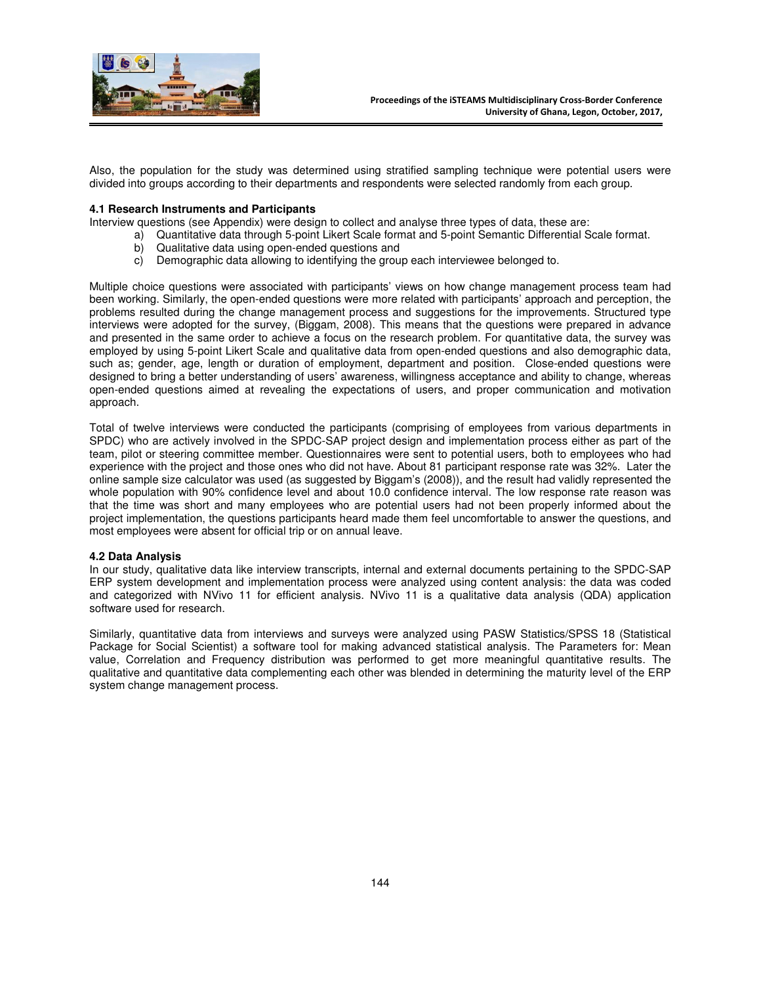

Also, the population for the study was determined using stratified sampling technique were potential users were divided into groups according to their departments and respondents were selected randomly from each group.

## **4.1 Research Instruments and Participants**

Interview questions (see Appendix) were design to collect and analyse three types of data, these are:

- a) Quantitative data through 5-point Likert Scale format and 5-point Semantic Differential Scale format.
- b) Qualitative data using open-ended questions and
- c) Demographic data allowing to identifying the group each interviewee belonged to.

Multiple choice questions were associated with participants' views on how change management process team had been working. Similarly, the open-ended questions were more related with participants' approach and perception, the problems resulted during the change management process and suggestions for the improvements. Structured type interviews were adopted for the survey, (Biggam, 2008). This means that the questions were prepared in advance and presented in the same order to achieve a focus on the research problem. For quantitative data, the survey was employed by using 5-point Likert Scale and qualitative data from open-ended questions and also demographic data, such as; gender, age, length or duration of employment, department and position. Close-ended questions were designed to bring a better understanding of users' awareness, willingness acceptance and ability to change, whereas open-ended questions aimed at revealing the expectations of users, and proper communication and motivation approach.

Total of twelve interviews were conducted the participants (comprising of employees from various departments in SPDC) who are actively involved in the SPDC-SAP project design and implementation process either as part of the team, pilot or steering committee member. Questionnaires were sent to potential users, both to employees who had experience with the project and those ones who did not have. About 81 participant response rate was 32%. Later the online sample size calculator was used (as suggested by Biggam's (2008)), and the result had validly represented the whole population with 90% confidence level and about 10.0 confidence interval. The low response rate reason was that the time was short and many employees who are potential users had not been properly informed about the project implementation, the questions participants heard made them feel uncomfortable to answer the questions, and most employees were absent for official trip or on annual leave.

#### **4.2 Data Analysis**

In our study, qualitative data like interview transcripts, internal and external documents pertaining to the SPDC-SAP ERP system development and implementation process were analyzed using content analysis: the data was coded and categorized with NVivo 11 for efficient analysis. NVivo 11 is a qualitative data analysis (QDA) application software used for research.

Similarly, quantitative data from interviews and surveys were analyzed using PASW Statistics/SPSS 18 (Statistical Package for Social Scientist) a software tool for making advanced statistical analysis. The Parameters for: Mean value, Correlation and Frequency distribution was performed to get more meaningful quantitative results. The qualitative and quantitative data complementing each other was blended in determining the maturity level of the ERP system change management process.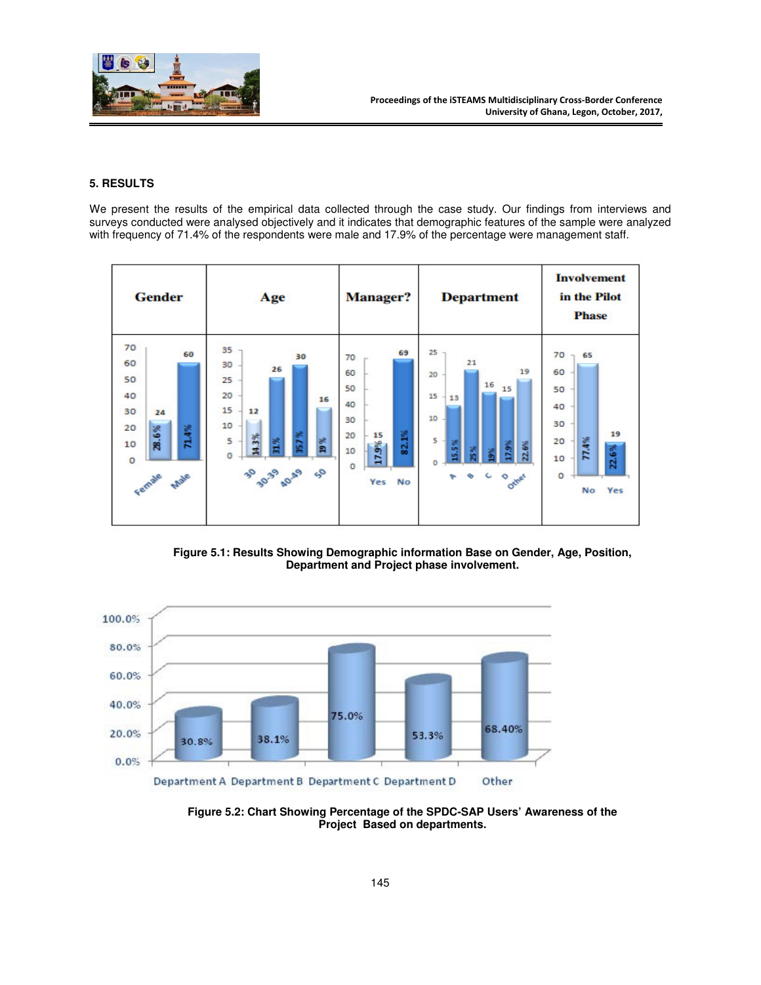

# **5. RESULTS**

We present the results of the empirical data collected through the case study. Our findings from interviews and surveys conducted were analysed objectively and it indicates that demographic features of the sample were analyzed with frequency of 71.4% of the respondents were male and 17.9% of the percentage were management staff.

| <b>Gender</b>                                                                                  | Age                                                                                                                        | <b>Manager?</b>                                                                              | <b>Department</b>                                                                                                                | <b>Involvement</b><br>in the Pilot<br><b>Phase</b>                                               |
|------------------------------------------------------------------------------------------------|----------------------------------------------------------------------------------------------------------------------------|----------------------------------------------------------------------------------------------|----------------------------------------------------------------------------------------------------------------------------------|--------------------------------------------------------------------------------------------------|
| 70<br>60<br>60<br>50<br>40<br>30<br>24<br>71.4%<br>20<br>28.6%<br>10<br>$\circ$<br>Female Male | 35<br>30<br>30<br>26<br>25<br>20<br>16<br>15<br>12<br>10<br>35.7%<br>14.3%<br>19%<br>1.%<br>5<br>$\circ$<br>30 39 40.49 50 | 69<br>70<br>60<br>50<br>40<br>30<br>82.1%<br>20<br>15<br>17.9%<br>10<br>$\circ$<br>No<br>Yes | $25 -$<br>21<br>19<br>20<br>16<br>15<br>15 <sub>1</sub><br>13<br>10<br>5<br>5%<br>17.9%<br>22.6%<br>25%<br>녑<br>e c o difer<br>₻ | 70<br>65<br>$\sim$<br>60<br>50<br>40<br>30<br>19<br>77.4%<br>20<br>22.6%<br>10<br>o<br>Yes<br>No |

**Figure 5.1: Results Showing Demographic information Base on Gender, Age, Position, Department and Project phase involvement.** 



**Figure 5.2: Chart Showing Percentage of the SPDC-SAP Users' Awareness of the Project Based on departments.**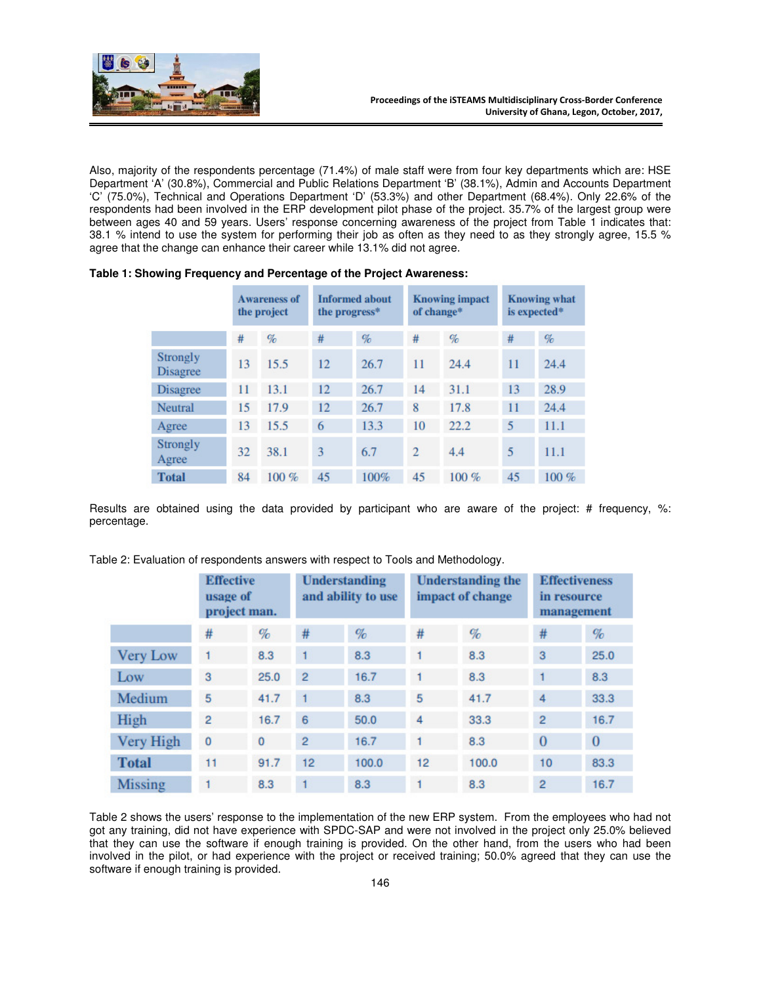

Also, majority of the respondents percentage (71.4%) of male staff were from four key departments which are: HSE Department 'A' (30.8%), Commercial and Public Relations Department 'B' (38.1%), Admin and Accounts Department 'C' (75.0%), Technical and Operations Department 'D' (53.3%) and other Department (68.4%). Only 22.6% of the respondents had been involved in the ERP development pilot phase of the project. 35.7% of the largest group were between ages 40 and 59 years. Users' response concerning awareness of the project from Table 1 indicates that: 38.1 % intend to use the system for performing their job as often as they need to as they strongly agree, 15.5 % agree that the change can enhance their career while 13.1% did not agree.

|                             | <b>Awareness of</b><br>the project |      | <b>Informed about</b><br>the progress* |      | <b>Knowing impact</b><br>of change* |          | <b>Knowing what</b><br>is expected* |         |
|-----------------------------|------------------------------------|------|----------------------------------------|------|-------------------------------------|----------|-------------------------------------|---------|
|                             | #                                  | $\%$ | #                                      | $\%$ | #                                   | $\%$     | #                                   | $\%$    |
| Strongly<br><b>Disagree</b> | 13                                 | 15.5 | 12                                     | 26.7 | 11                                  | 24.4     | 11                                  | 24.4    |
| <b>Disagree</b>             | 11                                 | 13.1 | 12                                     | 26.7 | 14                                  | 31.1     | 13                                  | 28.9    |
| Neutral                     | 15                                 | 17.9 | 12                                     | 26.7 | 8                                   | 17.8     | 11                                  | 24.4    |
| Agree                       | 13                                 | 15.5 | 6                                      | 13.3 | 10                                  | 222      | 5                                   | 11.1    |
| <b>Strongly</b><br>Agree    | 32                                 | 38.1 | 3                                      | 6.7  | $\overline{2}$                      | 4.4      | 5                                   | 11.1    |
| <b>Total</b>                | 84                                 | 100% | 45                                     | 100% | 45                                  | $100 \%$ | 45                                  | $100\%$ |

| Table 1: Showing Frequency and Percentage of the Project Awareness: |  |  |
|---------------------------------------------------------------------|--|--|
|---------------------------------------------------------------------|--|--|

Results are obtained using the data provided by participant who are aware of the project: # frequency, %: percentage.

|                 | <b>Effective</b><br>usage of<br>project man. |          | <b>Understanding</b><br>and ability to use |       | <b>Understanding the</b><br>impact of change |       | <b>Effectiveness</b><br>in resource<br>management |              |
|-----------------|----------------------------------------------|----------|--------------------------------------------|-------|----------------------------------------------|-------|---------------------------------------------------|--------------|
|                 | #                                            | %        | #                                          | $\%$  | #                                            | $\%$  | #                                                 | %            |
| <b>Very Low</b> |                                              | 8.3      | 1                                          | 8.3   |                                              | 8.3   | 3                                                 | 25.0         |
| Low             | 3                                            | 25.0     | $\overline{2}$                             | 16.7  | $\overline{1}$                               | 8.3   | $\mathbf{1}$                                      | 8.3          |
| Medium          | 5                                            | 41.7     |                                            | 8.3   | 5                                            | 41.7  | 4                                                 | 33.3         |
| High            | $\overline{2}$                               | 16.7     | 6                                          | 50.0  | 4                                            | 33.3  | $\overline{2}$                                    | 16.7         |
| Very High       | 0                                            | $\bf{0}$ | $\overline{2}$                             | 16.7  | $\vert$ 1                                    | 8.3   | $\bf{0}$                                          | $\mathbf{0}$ |
| <b>Total</b>    | 11                                           | 91.7     | 12                                         | 100.0 | 12                                           | 100.0 | 10                                                | 83.3         |
| <b>Missing</b>  | 1                                            | 8.3      |                                            | 8.3   |                                              | 8.3   | $\overline{2}$                                    | 16.7         |

Table 2: Evaluation of respondents answers with respect to Tools and Methodology.

Table 2 shows the users' response to the implementation of the new ERP system. From the employees who had not got any training, did not have experience with SPDC-SAP and were not involved in the project only 25.0% believed that they can use the software if enough training is provided. On the other hand, from the users who had been involved in the pilot, or had experience with the project or received training; 50.0% agreed that they can use the software if enough training is provided.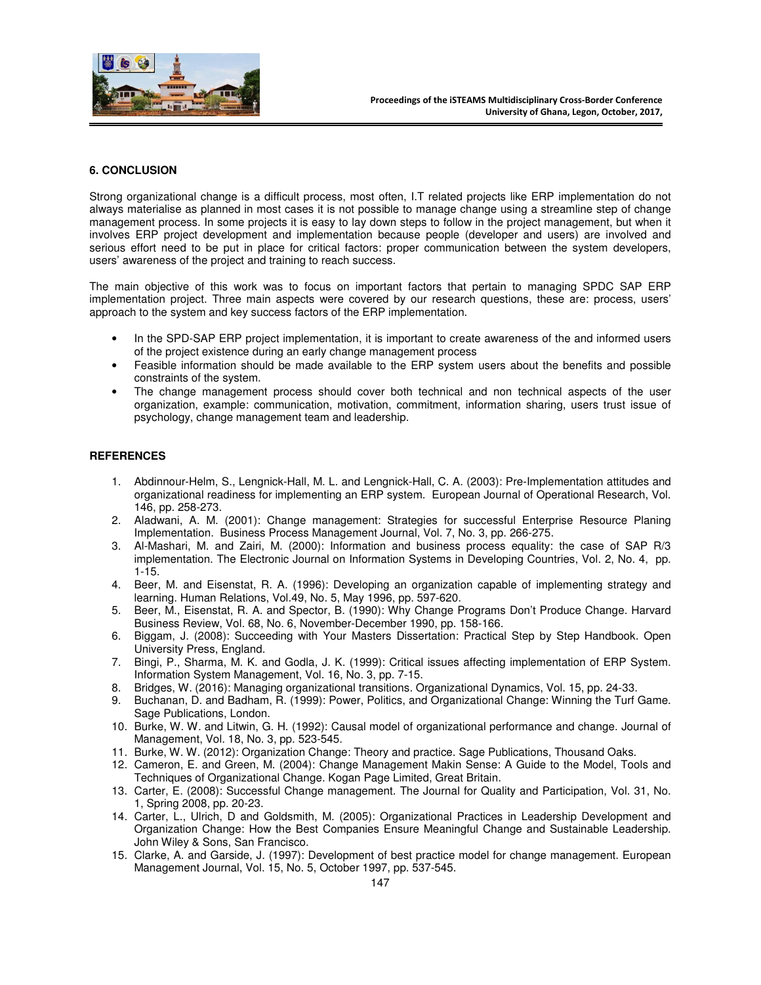

## **6. CONCLUSION**

Strong organizational change is a difficult process, most often, I.T related projects like ERP implementation do not always materialise as planned in most cases it is not possible to manage change using a streamline step of change management process. In some projects it is easy to lay down steps to follow in the project management, but when it involves ERP project development and implementation because people (developer and users) are involved and serious effort need to be put in place for critical factors: proper communication between the system developers, users' awareness of the project and training to reach success.

The main objective of this work was to focus on important factors that pertain to managing SPDC SAP ERP implementation project. Three main aspects were covered by our research questions, these are: process, users' approach to the system and key success factors of the ERP implementation.

- In the SPD-SAP ERP project implementation, it is important to create awareness of the and informed users of the project existence during an early change management process
- Feasible information should be made available to the ERP system users about the benefits and possible constraints of the system.
- The change management process should cover both technical and non technical aspects of the user organization, example: communication, motivation, commitment, information sharing, users trust issue of psychology, change management team and leadership.

## **REFERENCES**

- 1. Abdinnour-Helm, S., Lengnick-Hall, M. L. and Lengnick-Hall, C. A. (2003): Pre-Implementation attitudes and organizational readiness for implementing an ERP system. European Journal of Operational Research, Vol. 146, pp. 258-273.
- 2. Aladwani, A. M. (2001): Change management: Strategies for successful Enterprise Resource Planing Implementation. Business Process Management Journal, Vol. 7, No. 3, pp. 266-275.
- 3. Al-Mashari, M. and Zairi, M. (2000): Information and business process equality: the case of SAP R/3 implementation. The Electronic Journal on Information Systems in Developing Countries, Vol. 2, No. 4, pp. 1-15.
- 4. Beer, M. and Eisenstat, R. A. (1996): Developing an organization capable of implementing strategy and learning. Human Relations, Vol.49, No. 5, May 1996, pp. 597-620.
- 5. Beer, M., Eisenstat, R. A. and Spector, B. (1990): Why Change Programs Don't Produce Change. Harvard Business Review, Vol. 68, No. 6, November-December 1990, pp. 158-166.
- 6. Biggam, J. (2008): Succeeding with Your Masters Dissertation: Practical Step by Step Handbook. Open University Press, England.
- 7. Bingi, P., Sharma, M. K. and Godla, J. K. (1999): Critical issues affecting implementation of ERP System. Information System Management, Vol. 16, No. 3, pp. 7-15.
- 8. Bridges, W. (2016): Managing organizational transitions. Organizational Dynamics, Vol. 15, pp. 24-33.
- 9. Buchanan, D. and Badham, R. (1999): Power, Politics, and Organizational Change: Winning the Turf Game. Sage Publications, London.
- 10. Burke, W. W. and Litwin, G. H. (1992): Causal model of organizational performance and change. Journal of Management, Vol. 18, No. 3, pp. 523-545.
- 11. Burke, W. W. (2012): Organization Change: Theory and practice. Sage Publications, Thousand Oaks.
- 12. Cameron, E. and Green, M. (2004): Change Management Makin Sense: A Guide to the Model, Tools and Techniques of Organizational Change. Kogan Page Limited, Great Britain.
- 13. Carter, E. (2008): Successful Change management. The Journal for Quality and Participation, Vol. 31, No. 1, Spring 2008, pp. 20-23.
- 14. Carter, L., Ulrich, D and Goldsmith, M. (2005): Organizational Practices in Leadership Development and Organization Change: How the Best Companies Ensure Meaningful Change and Sustainable Leadership. John Wiley & Sons, San Francisco.
- 15. Clarke, A. and Garside, J. (1997): Development of best practice model for change management. European Management Journal, Vol. 15, No. 5, October 1997, pp. 537-545.